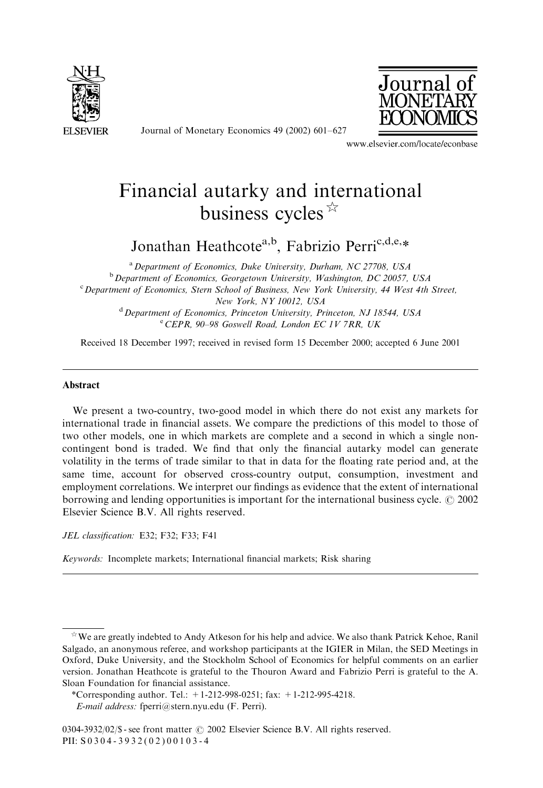

Journal o

Journal of Monetary Economics 49 (2002) 601–627

www.elsevier.com/locate/econbase

## Financial autarky and international business cycles  $\mathbb{R}$

Jonathan Heathcote<sup>a,b</sup>, Fabrizio Perri<sup>c,d,e,\*</sup>

<sup>a</sup> Department of Economics, Duke University, Durham, NC 27708, USA  $b$  Department of Economics, Georgetown University, Washington, DC 20057, USA <sup>c</sup> Department of Economics, Stern School of Business, New York University, 44 West 4th Street, New York, NY 10012, USA <sup>d</sup> Department of Economics, Princeton University, Princeton, NJ 18544, USA

<sup>e</sup> CEPR, 90-98 Goswell Road, London EC 1V 7RR, UK

Received 18 December 1997; received in revised form 15 December 2000; accepted 6 June 2001

## Abstract

We present a two-country, two-good model in which there do not exist any markets for international trade in financial assets. We compare the predictions of this model to those of two other models, one in which markets are complete and a second in which a single noncontingent bond is traded. We find that only the financial autarky model can generate volatility in the terms of trade similar to that in data for the floating rate period and, at the same time, account for observed cross-country output, consumption, investment and employment correlations. We interpret our findings as evidence that the extent of international borrowing and lending opportunities is important for the international business cycle.  $\odot$  2002 Elsevier Science B.V. All rights reserved.

JEL classification: E32; F32; F33; F41

Keywords: Incomplete markets; International financial markets; Risk sharing

 $\hat{X}$  We are greatly indebted to Andy Atkeson for his help and advice. We also thank Patrick Kehoe, Ranil Salgado, an anonymous referee, and workshop participants at the IGIER in Milan, the SED Meetings in Oxford, Duke University, and the Stockholm School of Economics for helpful comments on an earlier version. Jonathan Heathcote is grateful to the Thouron Award and Fabrizio Perri is grateful to the A. Sloan Foundation for financial assistance.

<sup>\*</sup>Corresponding author. Tel.:  $+1-212-998-0251$ ; fax:  $+1-212-995-4218$ .

E-mail address: fperri@stern.nyu.edu (F. Perri).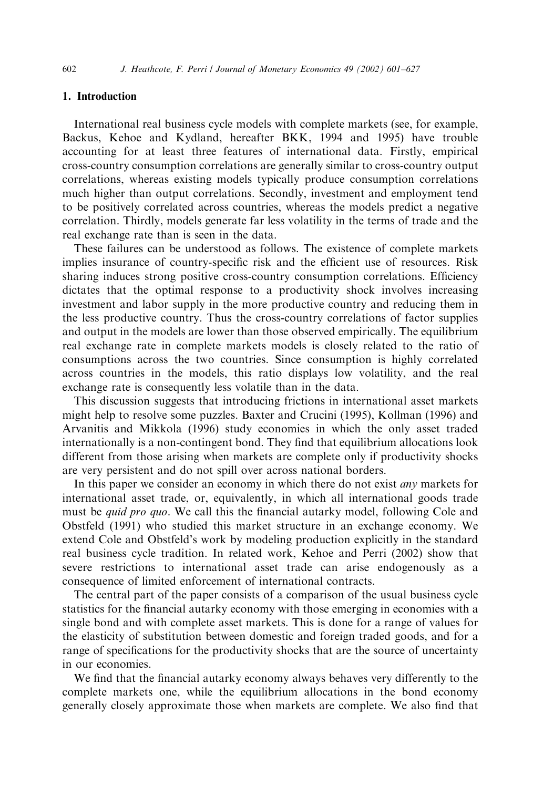## 1. Introduction

International real business cycle models with complete markets (see, for example, Backus, Kehoe and Kydland, hereafter BKK, 1994 and 1995) have trouble accounting for at least three features of international data. Firstly, empirical cross-country consumption correlations are generally similar to cross-country output correlations, whereas existing models typically produce consumption correlations much higher than output correlations. Secondly, investment and employment tend to be positively correlated across countries, whereas the models predict a negative correlation. Thirdly, models generate far less volatility in the terms of trade and the real exchange rate than is seen in the data.

These failures can be understood as follows. The existence of complete markets implies insurance of country-specific risk and the efficient use of resources. Risk sharing induces strong positive cross-country consumption correlations. Efficiency dictates that the optimal response to a productivity shock involves increasing investment and labor supply in the more productive country and reducing them in the less productive country. Thus the cross-country correlations of factor supplies and output in the models are lower than those observed empirically. The equilibrium real exchange rate in complete markets models is closely related to the ratio of consumptions across the two countries. Since consumption is highly correlated across countries in the models, this ratio displays low volatility, and the real exchange rate is consequently less volatile than in the data.

This discussion suggests that introducing frictions in international asset markets might help to resolve some puzzles. Baxter and Crucini (1995), Kollman (1996) and Arvanitis and Mikkola (1996) study economies in which the only asset traded internationally is a non-contingent bond. They find that equilibrium allocations look different from those arising when markets are complete only if productivity shocks are very persistent and do not spill over across national borders.

In this paper we consider an economy in which there do not exist any markets for international asset trade, or, equivalently, in which all international goods trade must be *quid pro quo*. We call this the financial autarky model, following Cole and Obstfeld (1991) who studied this market structure in an exchange economy. We extend Cole and Obstfeld's work by modeling production explicitly in the standard real business cycle tradition. In related work, Kehoe and Perri (2002) show that severe restrictions to international asset trade can arise endogenously as a consequence of limited enforcement of international contracts.

The central part of the paper consists of a comparison of the usual business cycle statistics for the financial autarky economy with those emerging in economies with a single bond and with complete asset markets. This is done for a range of values for the elasticity of substitution between domestic and foreign traded goods, and for a range of specifications for the productivity shocks that are the source of uncertainty in our economies.

We find that the financial autarky economy always behaves very differently to the complete markets one, while the equilibrium allocations in the bond economy generally closely approximate those when markets are complete. We also find that